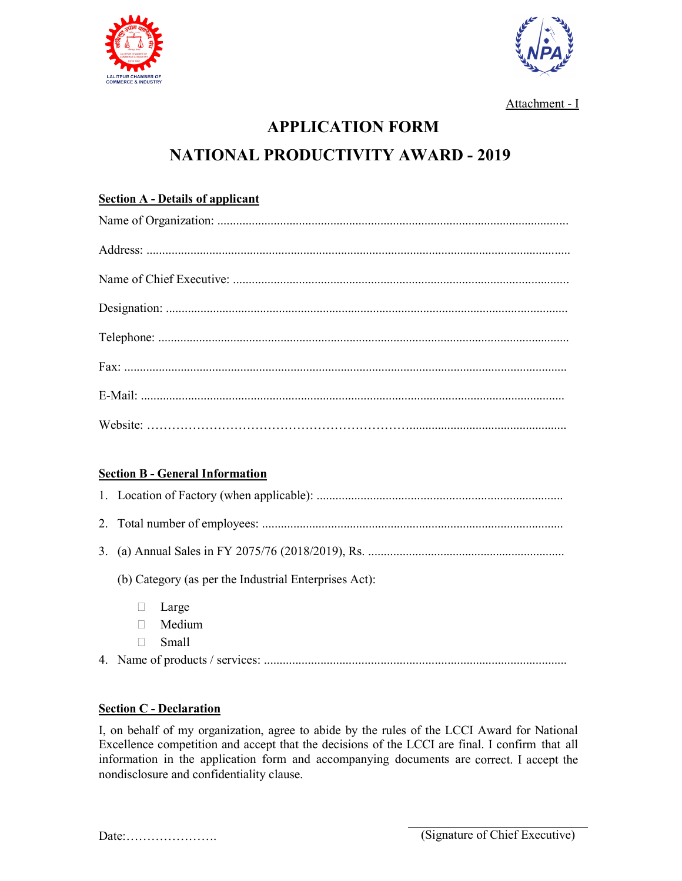



Attachment - I

# **APPLICATION FORM NATIONAL PRODUCTIVITY AWARD - 2019**

## **Section A - Details of applicant**

## **Section B - General Information**

| (b) Category (as per the Industrial Enterprises Act): |        |  |
|-------------------------------------------------------|--------|--|
|                                                       | Large  |  |
|                                                       | Medium |  |
|                                                       | Small  |  |

4. Name of products / services: ................................................................................................

#### **Section C - Declaration**

I, on behalf of my organization, agree to abide by the rules of the LCCI Award for National Excellence competition and accept that the decisions of the LCCI are final. I confirm that all information in the application form and accompanying documents are correct. I accept the nondisclosure and confidentiality clause.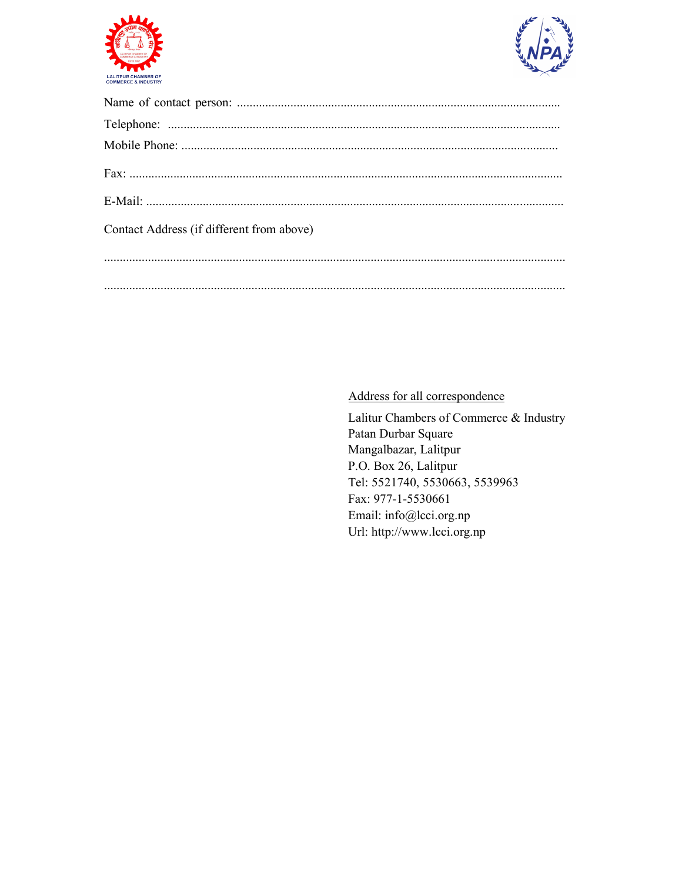



| Contact Address (if different from above) |
|-------------------------------------------|
|                                           |
|                                           |
|                                           |

## Address for all correspondence

Lalitur Chambers of Commerce & Industry Patan Durbar Square Mangalbazar, Lalitpur P.O. Box 26, Lalitpur Tel: 5521740, 5530663, 5539963 Fax: 977-1-5530661 Email: info@lcci.org.np Url: http://www.lcci.org.np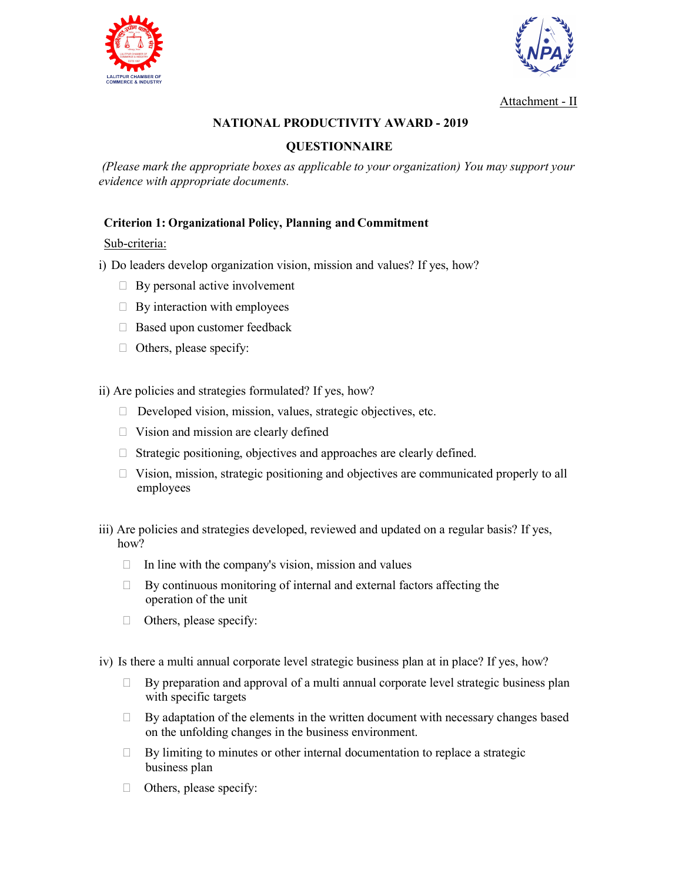



Attachment - II

## **NATIONAL PRODUCTIVITY AWARD - 2019**

## **QUESTIONNAIRE**

*(Please mark the appropriate boxes as applicable to your organization) You may support your evidence with appropriate documents.*

#### **Criterion 1: Organizational Policy, Planning and Commitment**

#### Sub-criteria:

i) Do leaders develop organization vision, mission and values? If yes, how?

- $\Box$  By personal active involvement
- $\Box$  By interaction with employees
- □ Based upon customer feedback
- Others, please specify:

ii) Are policies and strategies formulated? If yes, how?

- $\Box$  Developed vision, mission, values, strategic objectives, etc.
- $\Box$  Vision and mission are clearly defined
- $\Box$  Strategic positioning, objectives and approaches are clearly defined.
- □ Vision, mission, strategic positioning and objectives are communicated properly to all employees
- iii) Are policies and strategies developed, reviewed and updated on a regular basis? If yes, how?
	- $\Box$  In line with the company's vision, mission and values
	- $\Box$  By continuous monitoring of internal and external factors affecting the operation of the unit
	- $\Box$  Others, please specify:

iv) Is there a multi annual corporate level strategic business plan at in place? If yes, how?

- $\Box$  By preparation and approval of a multi annual corporate level strategic business plan with specific targets
- $\Box$  By adaptation of the elements in the written document with necessary changes based on the unfolding changes in the business environment.
- $\Box$  By limiting to minutes or other internal documentation to replace a strategic business plan
- $\Box$  Others, please specify: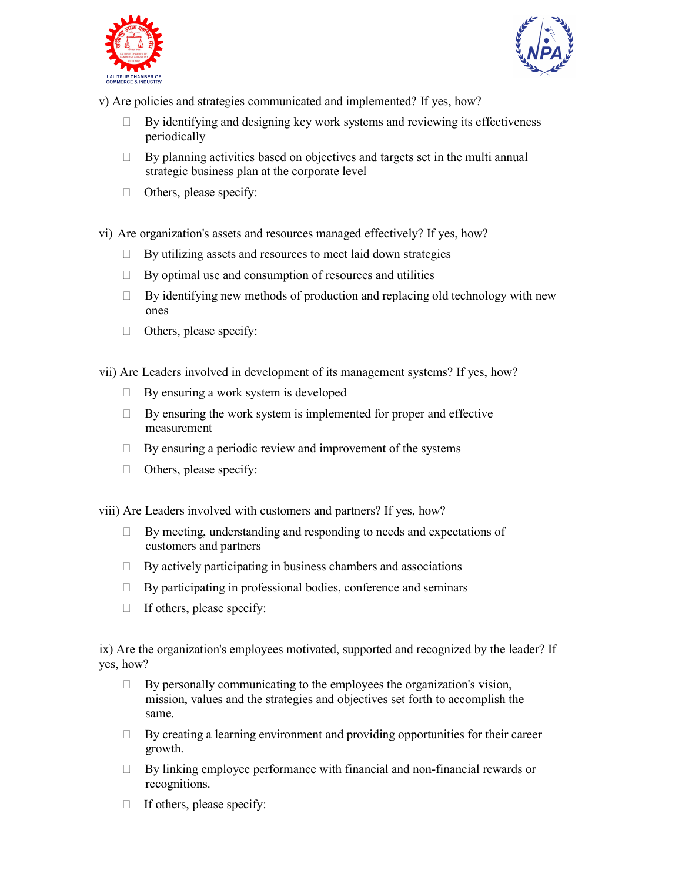



v) Are policies and strategies communicated and implemented? If yes, how?

- $\Box$  By identifying and designing key work systems and reviewing its effectiveness periodically
- $\Box$  By planning activities based on objectives and targets set in the multi annual strategic business plan at the corporate level
- $\Box$  Others, please specify:
- vi) Are organization's assets and resources managed effectively? If yes, how?
	- $\Box$  By utilizing assets and resources to meet laid down strategies
	- $\Box$  By optimal use and consumption of resources and utilities
	- $\Box$  By identifying new methods of production and replacing old technology with new ones
	- $\Box$  Others, please specify:

vii) Are Leaders involved in development of its management systems? If yes, how?

- $\Box$  By ensuring a work system is developed
- $\Box$  By ensuring the work system is implemented for proper and effective measurement
- $\Box$  By ensuring a periodic review and improvement of the systems
- $\Box$  Others, please specify:

viii) Are Leaders involved with customers and partners? If yes, how?

- By meeting, understanding and responding to needs and expectations of customers and partners
- $\Box$  By actively participating in business chambers and associations
- $\Box$  By participating in professional bodies, conference and seminars
- $\Box$  If others, please specify:

ix) Are the organization's employees motivated, supported and recognized by the leader? If yes, how?

- $\Box$  By personally communicating to the employees the organization's vision, mission, values and the strategies and objectives set forth to accomplish the same.
- $\Box$  By creating a learning environment and providing opportunities for their career growth.
- $\Box$  By linking employee performance with financial and non-financial rewards or recognitions.
- $\Box$  If others, please specify: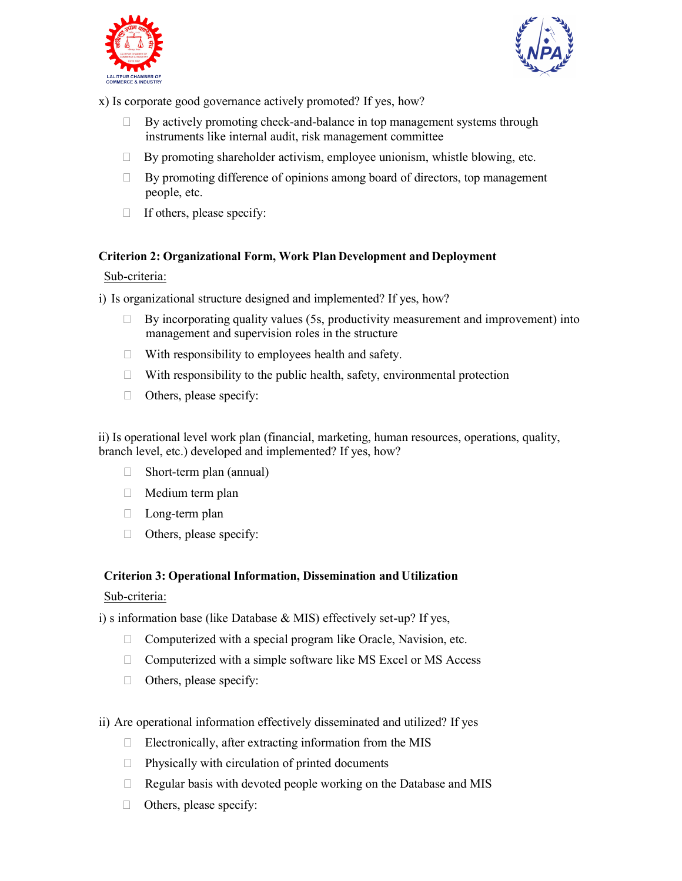



x) Is corporate good governance actively promoted? If yes, how?

- $\Box$  By actively promoting check-and-balance in top management systems through instruments like internal audit, risk management committee
- $\Box$  By promoting shareholder activism, employee unionism, whistle blowing, etc.
- $\Box$  By promoting difference of opinions among board of directors, top management people, etc.
- $\Box$  If others, please specify:

#### **Criterion 2: Organizational Form, Work Plan Development and Deployment**

#### Sub-criteria:

i) Is organizational structure designed and implemented? If yes, how?

- $\Box$  By incorporating quality values (5s, productivity measurement and improvement) into management and supervision roles in the structure
- $\Box$  With responsibility to employees health and safety.
- $\Box$  With responsibility to the public health, safety, environmental protection
- $\Box$  Others, please specify:

ii) Is operational level work plan (financial, marketing, human resources, operations, quality, branch level, etc.) developed and implemented? If yes, how?

- $\Box$  Short-term plan (annual)
- $\Box$  Medium term plan
- D Long-term plan
- $\Box$  Others, please specify:

#### **Criterion 3: Operational Information, Dissemination and Utilization**

#### Sub-criteria:

i) s information base (like Database & MIS) effectively set-up? If yes,

- $\Box$  Computerized with a special program like Oracle, Navision, etc.
- $\Box$  Computerized with a simple software like MS Excel or MS Access
- $\Box$  Others, please specify:
- ii) Are operational information effectively disseminated and utilized? If yes
	- $\Box$  Electronically, after extracting information from the MIS
	- $\Box$  Physically with circulation of printed documents
	- $\Box$  Regular basis with devoted people working on the Database and MIS
	- $\Box$  Others, please specify: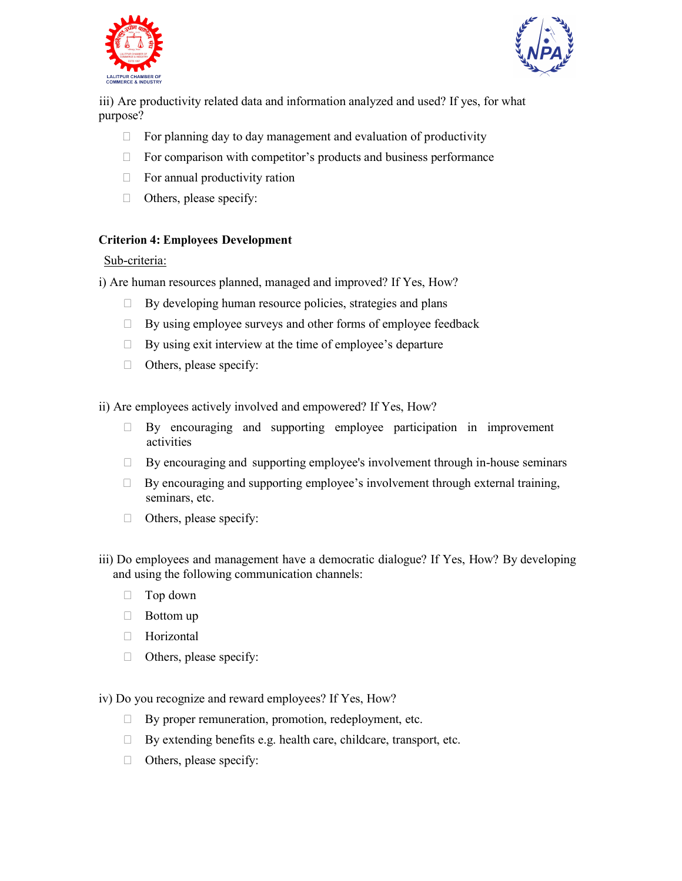



iii) Are productivity related data and information analyzed and used? If yes, for what purpose?

- $\Box$  For planning day to day management and evaluation of productivity
- $\Box$  For comparison with competitor's products and business performance
- $\Box$  For annual productivity ration
- $\Box$  Others, please specify:

#### **Criterion 4: Employees Development**

#### Sub-criteria:

i) Are human resources planned, managed and improved? If Yes, How?

- $\Box$  By developing human resource policies, strategies and plans
- $\Box$  By using employee surveys and other forms of employee feedback
- $\Box$  By using exit interview at the time of employee's departure
- $\Box$  Others, please specify:

ii) Are employees actively involved and empowered? If Yes, How?

- $\Box$  By encouraging and supporting employee participation in improvement activities
- $\Box$  By encouraging and supporting employee's involvement through in-house seminars
- $\Box$  By encouraging and supporting employee's involvement through external training, seminars, etc.
- $\Box$  Others, please specify:
- iii) Do employees and management have a democratic dialogue? If Yes, How? By developing and using the following communication channels:
	- □ Top down
	- $\Box$  Bottom up
	- **Horizontal**
	- $\Box$  Others, please specify:

iv) Do you recognize and reward employees? If Yes, How?

- $\Box$  By proper remuneration, promotion, redeployment, etc.
- $\Box$  By extending benefits e.g. health care, childcare, transport, etc.
- $\Box$  Others, please specify: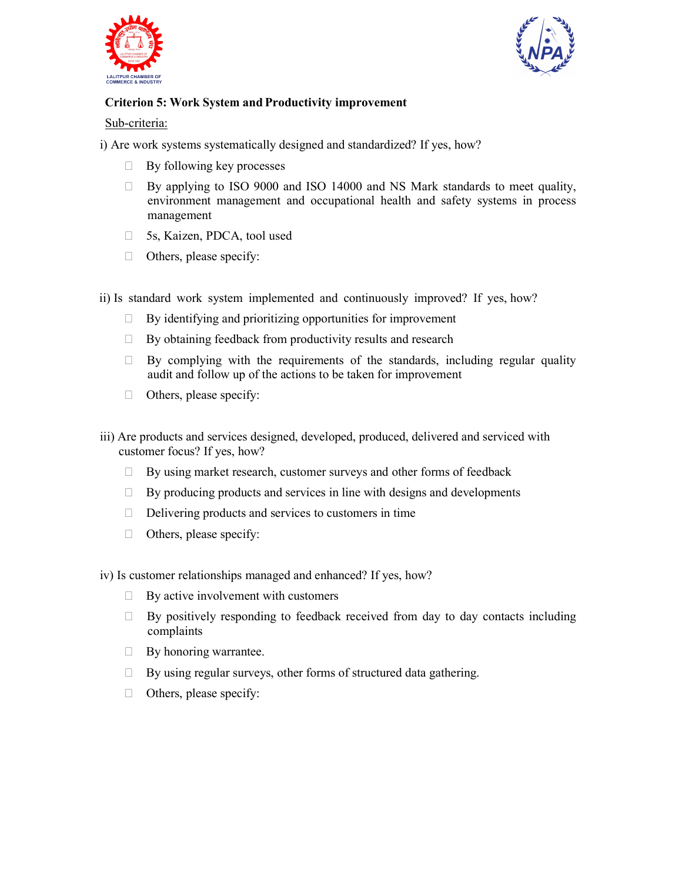



## **Criterion 5: Work System and Productivity improvement**

Sub-criteria:

i) Are work systems systematically designed and standardized? If yes, how?

- $\Box$  By following key processes
- $\Box$  By applying to ISO 9000 and ISO 14000 and NS Mark standards to meet quality, environment management and occupational health and safety systems in process management
- □ 5s, Kaizen, PDCA, tool used
- $\Box$  Others, please specify:
- ii) Is standard work system implemented and continuously improved? If yes, how?
	- $\Box$  By identifying and prioritizing opportunities for improvement
	- $\Box$  By obtaining feedback from productivity results and research
	- $\Box$  By complying with the requirements of the standards, including regular quality audit and follow up of the actions to be taken for improvement
	- $\Box$  Others, please specify:
- iii) Are products and services designed, developed, produced, delivered and serviced with customer focus? If yes, how?
	- $\Box$  By using market research, customer surveys and other forms of feedback
	- $\Box$  By producing products and services in line with designs and developments
	- $\Box$  Delivering products and services to customers in time
	- $\Box$  Others, please specify:
- iv) Is customer relationships managed and enhanced? If yes, how?
	- $\Box$  By active involvement with customers
	- $\Box$  By positively responding to feedback received from day to day contacts including complaints
	- $\Box$  By honoring warrantee.
	- $\Box$  By using regular surveys, other forms of structured data gathering.
	- $\Box$  Others, please specify: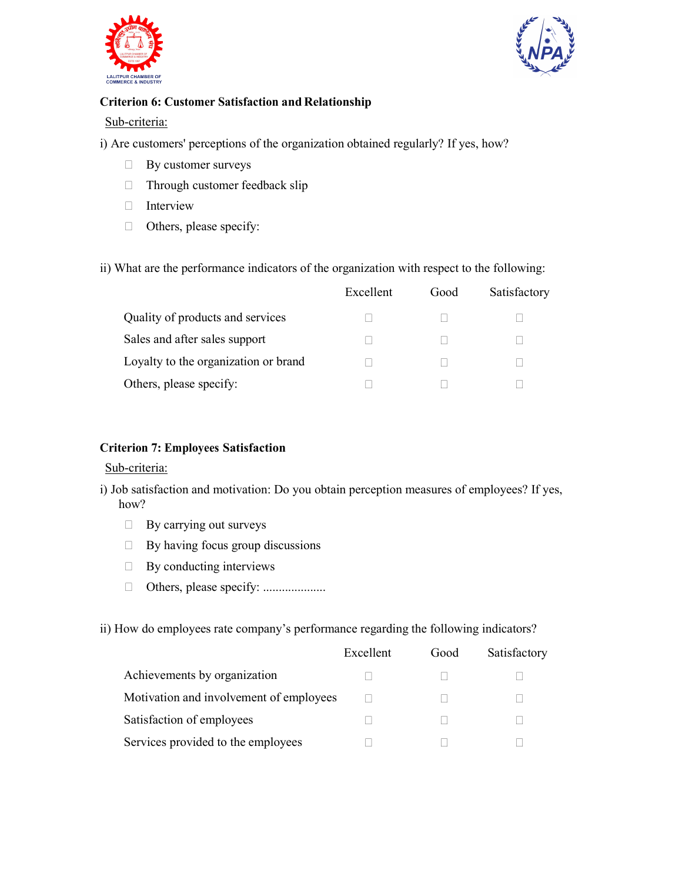



#### **Criterion 6: Customer Satisfaction and Relationship**

#### Sub-criteria:

i) Are customers' perceptions of the organization obtained regularly? If yes, how?

- By customer surveys
- □ Through customer feedback slip
- **Interview**
- Others, please specify:

#### ii) What are the performance indicators of the organization with respect to the following:

|                                      | Excellent | Good | Satisfactory |
|--------------------------------------|-----------|------|--------------|
| Quality of products and services     |           |      |              |
| Sales and after sales support        |           |      |              |
| Loyalty to the organization or brand |           |      |              |
| Others, please specify:              |           |      |              |

#### **Criterion 7: Employees Satisfaction**

#### Sub-criteria:

- i) Job satisfaction and motivation: Do you obtain perception measures of employees? If yes, how?
	- **By carrying out surveys**
	- $\Box$  By having focus group discussions
	- $\Box$  By conducting interviews
	- Others, please specify: ....................

ii) How do employees rate company's performance regarding the following indicators?

|                                         | Excellent | Good | Satisfactory |
|-----------------------------------------|-----------|------|--------------|
| Achievements by organization            |           |      |              |
| Motivation and involvement of employees |           |      |              |
| Satisfaction of employees               |           |      |              |
| Services provided to the employees      |           |      |              |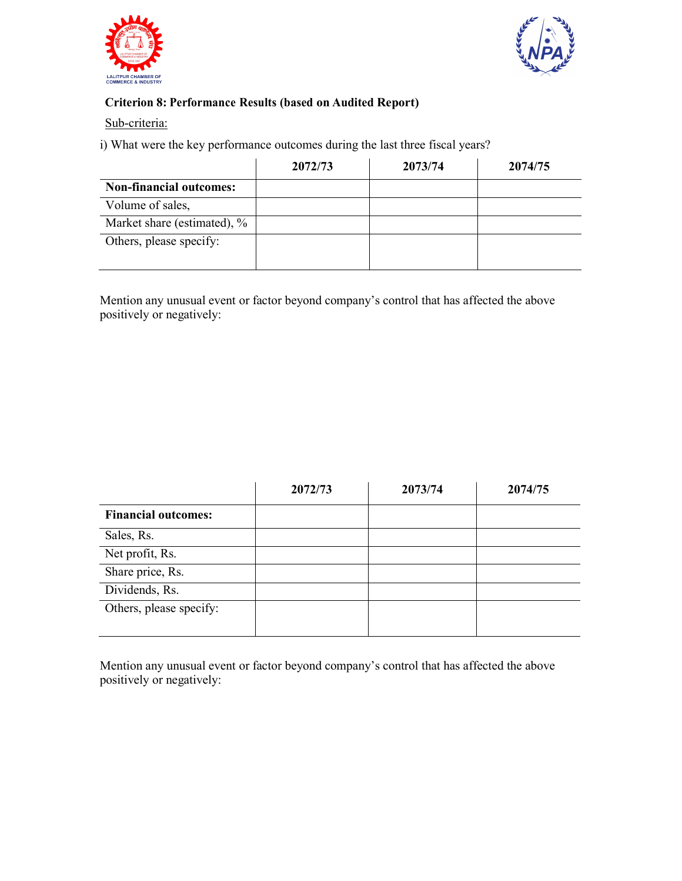



## **Criterion 8: Performance Results (based on Audited Report)**

Sub-criteria:

i) What were the key performance outcomes during the last three fiscal years?

|                                | 2072/73 | 2073/74 | 2074/75 |
|--------------------------------|---------|---------|---------|
| <b>Non-financial outcomes:</b> |         |         |         |
| Volume of sales,               |         |         |         |
| Market share (estimated), %    |         |         |         |
| Others, please specify:        |         |         |         |
|                                |         |         |         |

Mention any unusual event or factor beyond company's control that has affected the above positively or negatively:

|                            | 2072/73 | 2073/74 | 2074/75 |
|----------------------------|---------|---------|---------|
| <b>Financial outcomes:</b> |         |         |         |
| Sales, Rs.                 |         |         |         |
| Net profit, Rs.            |         |         |         |
| Share price, Rs.           |         |         |         |
| Dividends, Rs.             |         |         |         |
| Others, please specify:    |         |         |         |

Mention any unusual event or factor beyond company's control that has affected the above positively or negatively: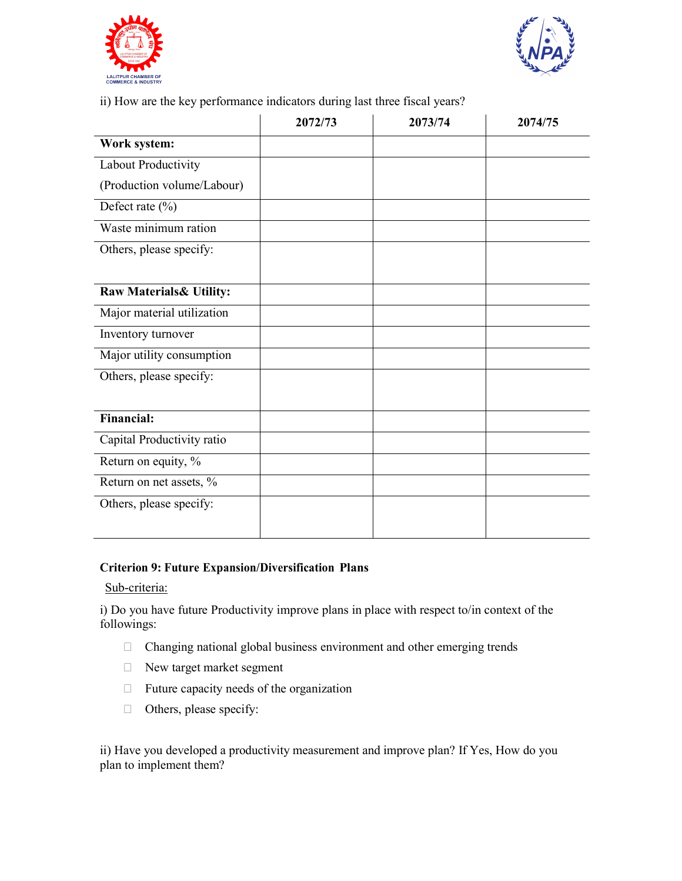



ii) How are the key performance indicators during last three fiscal years?

|                            | 2072/73 | 2073/74 | 2074/75 |
|----------------------------|---------|---------|---------|
| Work system:               |         |         |         |
| Labout Productivity        |         |         |         |
| (Production volume/Labour) |         |         |         |
| Defect rate $(\% )$        |         |         |         |
| Waste minimum ration       |         |         |         |
| Others, please specify:    |         |         |         |
|                            |         |         |         |
| Raw Materials & Utility:   |         |         |         |
| Major material utilization |         |         |         |
| Inventory turnover         |         |         |         |
| Major utility consumption  |         |         |         |
| Others, please specify:    |         |         |         |
|                            |         |         |         |
| <b>Financial:</b>          |         |         |         |
| Capital Productivity ratio |         |         |         |
| Return on equity, %        |         |         |         |
| Return on net assets, %    |         |         |         |
| Others, please specify:    |         |         |         |
|                            |         |         |         |

#### **Criterion 9: Future Expansion/Diversification Plans**

#### Sub-criteria:

i) Do you have future Productivity improve plans in place with respect to/in context of the followings:

- Changing national global business environment and other emerging trends
- New target market segment
- $\Box$  Future capacity needs of the organization
- Others, please specify:

ii) Have you developed a productivity measurement and improve plan? If Yes, How do you plan to implement them?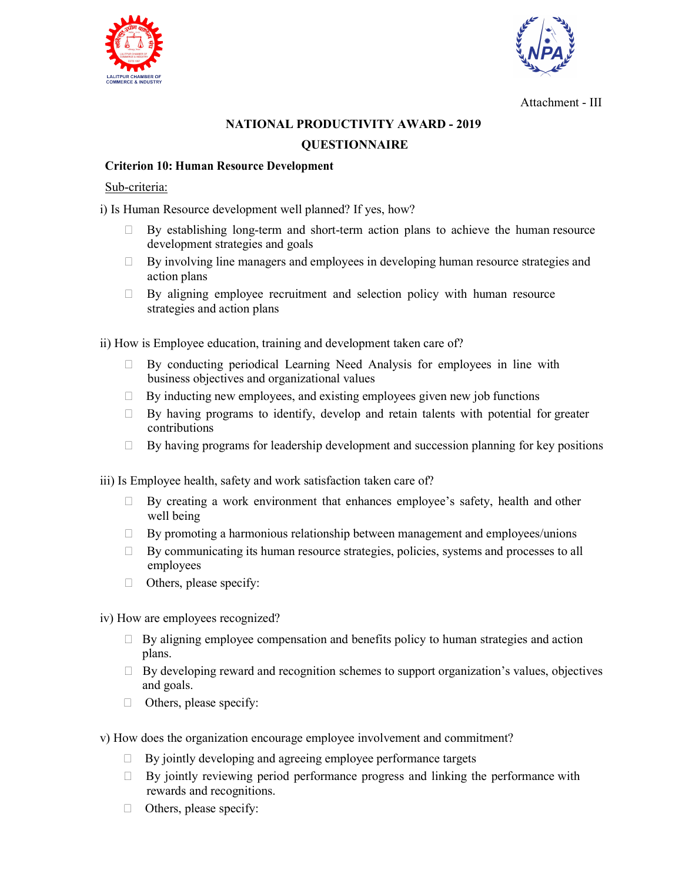



Attachment - III

# **NATIONAL PRODUCTIVITY AWARD - 2019 QUESTIONNAIRE**

### **Criterion 10: Human Resource Development**

#### Sub-criteria:

i) Is Human Resource development well planned? If yes, how?

- By establishing long-term and short-term action plans to achieve the human resource development strategies and goals
- By involving line managers and employees in developing human resource strategies and action plans
- $\Box$  By aligning employee recruitment and selection policy with human resource strategies and action plans

ii) How is Employee education, training and development taken care of?

- $\Box$  By conducting periodical Learning Need Analysis for employees in line with business objectives and organizational values
- $\Box$  By inducting new employees, and existing employees given new job functions
- $\Box$  By having programs to identify, develop and retain talents with potential for greater contributions
- $\Box$  By having programs for leadership development and succession planning for key positions

iii) Is Employee health, safety and work satisfaction taken care of?

- By creating a work environment that enhances employee's safety, health and other well being
- $\Box$  By promoting a harmonious relationship between management and employees/unions
- $\Box$  By communicating its human resource strategies, policies, systems and processes to all employees
- $\Box$  Others, please specify:
- iv) How are employees recognized?
	- $\Box$  By aligning employee compensation and benefits policy to human strategies and action plans.
	- $\Box$  By developing reward and recognition schemes to support organization's values, objectives and goals.
	- $\Box$  Others, please specify:
- v) How does the organization encourage employee involvement and commitment?
	- $\Box$  By jointly developing and agreeing employee performance targets
	- $\Box$  By jointly reviewing period performance progress and linking the performance with rewards and recognitions.
	- $\Box$  Others, please specify: